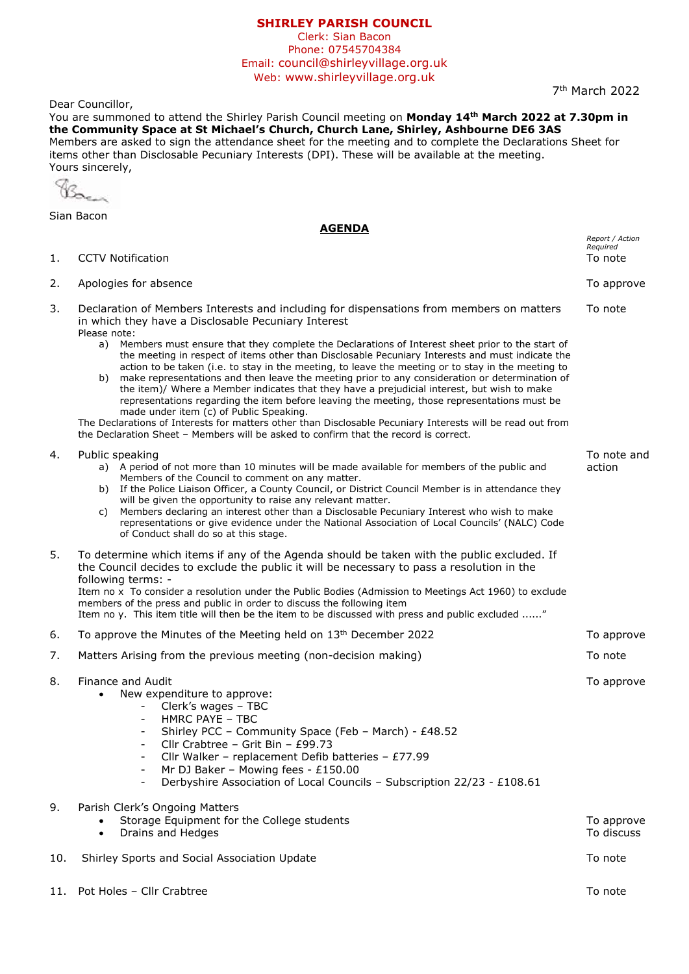## **SHIRLEY PARISH COUNCIL**

Clerk: Sian Bacon Phone: 07545704384 Email: council@shirleyvillage.org.uk Web: www.shirleyvillage.org.uk

Dear Councillor,

You are summoned to attend the Shirley Parish Council meeting on **Monday 14th March 2022 at 7.30pm in the Community Space at St Michael's Church, Church Lane, Shirley, Ashbourne DE6 3AS** Members are asked to sign the attendance sheet for the meeting and to complete the Declarations Sheet for items other than Disclosable Pecuniary Interests (DPI). These will be available at the meeting. Yours sincerely,

Bacan

Sian Bacon

|     | <u>AGENDA</u>                                                                                                                                                                                                                                                                                                                                                                                                                                                                                                                                                                                                                                                                                                                                                                                                                                                           |                                        |
|-----|-------------------------------------------------------------------------------------------------------------------------------------------------------------------------------------------------------------------------------------------------------------------------------------------------------------------------------------------------------------------------------------------------------------------------------------------------------------------------------------------------------------------------------------------------------------------------------------------------------------------------------------------------------------------------------------------------------------------------------------------------------------------------------------------------------------------------------------------------------------------------|----------------------------------------|
| 1.  | <b>CCTV Notification</b>                                                                                                                                                                                                                                                                                                                                                                                                                                                                                                                                                                                                                                                                                                                                                                                                                                                | Report / Action<br>Required<br>To note |
| 2.  | Apologies for absence                                                                                                                                                                                                                                                                                                                                                                                                                                                                                                                                                                                                                                                                                                                                                                                                                                                   | To approve                             |
| 3.  | Declaration of Members Interests and including for dispensations from members on matters<br>in which they have a Disclosable Pecuniary Interest<br>Please note:                                                                                                                                                                                                                                                                                                                                                                                                                                                                                                                                                                                                                                                                                                         | To note                                |
|     | Members must ensure that they complete the Declarations of Interest sheet prior to the start of<br>a)<br>the meeting in respect of items other than Disclosable Pecuniary Interests and must indicate the<br>action to be taken (i.e. to stay in the meeting, to leave the meeting or to stay in the meeting to<br>make representations and then leave the meeting prior to any consideration or determination of<br>b)<br>the item)/ Where a Member indicates that they have a prejudicial interest, but wish to make<br>representations regarding the item before leaving the meeting, those representations must be<br>made under item (c) of Public Speaking.<br>The Declarations of Interests for matters other than Disclosable Pecuniary Interests will be read out from<br>the Declaration Sheet - Members will be asked to confirm that the record is correct. |                                        |
| 4.  | Public speaking<br>a) A period of not more than 10 minutes will be made available for members of the public and<br>Members of the Council to comment on any matter.<br>b) If the Police Liaison Officer, a County Council, or District Council Member is in attendance they<br>will be given the opportunity to raise any relevant matter.<br>Members declaring an interest other than a Disclosable Pecuniary Interest who wish to make<br>C)<br>representations or give evidence under the National Association of Local Councils' (NALC) Code<br>of Conduct shall do so at this stage.                                                                                                                                                                                                                                                                               | To note and<br>action                  |
| 5.  | To determine which items if any of the Agenda should be taken with the public excluded. If<br>the Council decides to exclude the public it will be necessary to pass a resolution in the<br>following terms: -<br>Item no x To consider a resolution under the Public Bodies (Admission to Meetings Act 1960) to exclude<br>members of the press and public in order to discuss the following item<br>Item no y. This item title will then be the item to be discussed with press and public excluded "                                                                                                                                                                                                                                                                                                                                                                 |                                        |
| 6.  | To approve the Minutes of the Meeting held on 13 <sup>th</sup> December 2022                                                                                                                                                                                                                                                                                                                                                                                                                                                                                                                                                                                                                                                                                                                                                                                            | To approve                             |
| 7.  | Matters Arising from the previous meeting (non-decision making)                                                                                                                                                                                                                                                                                                                                                                                                                                                                                                                                                                                                                                                                                                                                                                                                         | To note                                |
| 8.  | Finance and Audit<br>New expenditure to approve:<br>$\bullet$<br>Clerk's wages - TBC<br>HMRC PAYE - TBC<br>Shirley PCC - Community Space (Feb - March) - £48.52<br>Cllr Crabtree - Grit Bin - £99.73<br>Cllr Walker - replacement Defib batteries - £77.99<br>Mr DJ Baker - Mowing fees - £150.00<br>$\overline{\phantom{a}}$<br>Derbyshire Association of Local Councils - Subscription 22/23 - £108.61                                                                                                                                                                                                                                                                                                                                                                                                                                                                | To approve                             |
| 9.  | Parish Clerk's Ongoing Matters<br>Storage Equipment for the College students<br>Drains and Hedges<br>$\bullet$                                                                                                                                                                                                                                                                                                                                                                                                                                                                                                                                                                                                                                                                                                                                                          | To approve<br>To discuss               |
| 10. | Shirley Sports and Social Association Update                                                                                                                                                                                                                                                                                                                                                                                                                                                                                                                                                                                                                                                                                                                                                                                                                            | To note                                |
| 11. | Pot Holes - Cllr Crabtree                                                                                                                                                                                                                                                                                                                                                                                                                                                                                                                                                                                                                                                                                                                                                                                                                                               | To note                                |

7 th March 2022